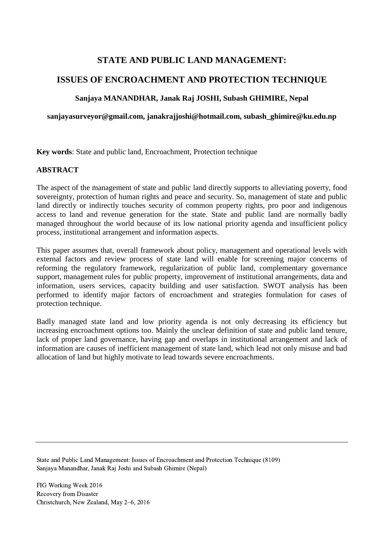# **STATE AND PUBLIC LAND MANAGEMENT:**

# **ISSUES OF ENCROACHMENT AND PROTECTION TECHNIQUE**

## **Sanjaya MANANDHAR, Janak Raj JOSHI, Subash GHIMIRE, Nepal**

**sanjayasurveyor@gmail.com, janakrajjoshi@hotmail.com, subash\_ghimire@ku.edu.np**

**Key words**: State and public land, Encroachment, Protection technique

### **ABSTRACT**

The aspect of the management of state and public land directly supports to alleviating poverty, food sovereignty, protection of human rights and peace and security. So, management of state and public land directly or indirectly touches security of common property rights, pro poor and indigenous access to land and revenue generation for the state. State and public land are normally badly managed throughout the world because of its low national priority agenda and insufficient policy process, institutional arrangement and information aspects.

This paper assumes that, overall framework about policy, management and operational levels with external factors and review process of state land will enable for screening major concerns of reforming the regulatory framework, regularization of public land, complementary governance support, management rules for public property, improvement of institutional arrangements, data and information, users services, capacity building and user satisfaction. SWOT analysis has been performed to identify major factors of encroachment and strategies formulation for cases of protection technique.

Badly managed state land and low priority agenda is not only decreasing its efficiency but increasing encroachment options too. Mainly the unclear definition of state and public land tenure, lack of proper land governance, having gap and overlaps in institutional arrangement and lack of information are causes of inefficient management of state land, which lead not only misuse and bad allocation of land but highly motivate to lead towards severe encroachments.

State and Public Land Management: Issues of Encroachment and Protection Technique (8109) Sanjaya Manandhar, Janak Raj Joshi and Subash Ghimire (Nepal)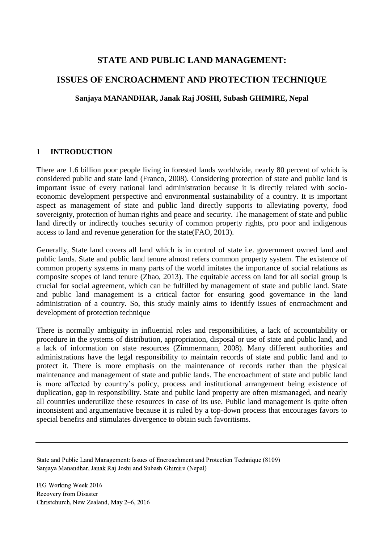## **STATE AND PUBLIC LAND MANAGEMENT:**

## **ISSUES OF ENCROACHMENT AND PROTECTION TECHNIQUE**

**Sanjaya MANANDHAR, Janak Raj JOSHI, Subash GHIMIRE, Nepal**

### **1 INTRODUCTION**

There are 1.6 billion poor people living in forested lands worldwide, nearly 80 percent of which is considered public and state land (Franco, 2008). Considering protection of state and public land is important issue of every national land administration because it is directly related with socioeconomic development perspective and environmental sustainability of a country. It is important aspect as management of state and public land directly supports to alleviating poverty, food sovereignty, protection of human rights and peace and security. The management of state and public land directly or indirectly touches security of common property rights, pro poor and indigenous access to land and revenue generation for the state(FAO, 2013).

Generally, State land covers all land which is in control of state i.e. government owned land and public lands. State and public land tenure almost refers common property system. The existence of common property systems in many parts of the world imitates the importance of social relations as composite scopes of land tenure (Zhao, 2013). The equitable access on land for all social group is crucial for social agreement, which can be fulfilled by management of state and public land. State and public land management is a critical factor for ensuring good governance in the land administration of a country. So, this study mainly aims to identify issues of encroachment and development of protection technique

There is normally ambiguity in influential roles and responsibilities, a lack of accountability or procedure in the systems of distribution, appropriation, disposal or use of state and public land, and a lack of information on state resources (Zimmermann, 2008). Many different authorities and administrations have the legal responsibility to maintain records of state and public land and to protect it. There is more emphasis on the maintenance of records rather than the physical maintenance and management of state and public lands. The encroachment of state and public land is more affected by country's policy, process and institutional arrangement being existence of duplication, gap in responsibility. State and public land property are often mismanaged, and nearly all countries underutilize these resources in case of its use. Public land management is quite often inconsistent and argumentative because it is ruled by a top-down process that encourages favors to special benefits and stimulates divergence to obtain such favoritisms.

State and Public Land Management: Issues of Encroachment and Protection Technique (8109) Sanjaya Manandhar, Janak Raj Joshi and Subash Ghimire (Nepal)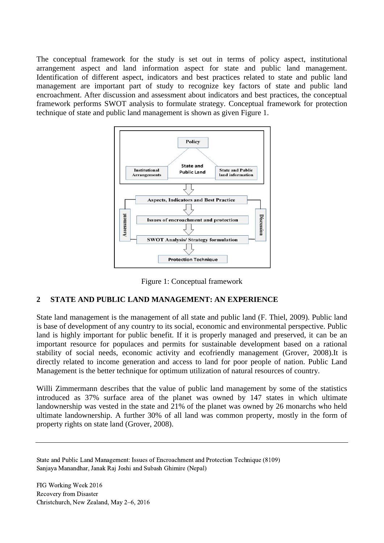The conceptual framework for the study is set out in terms of policy aspect, institutional arrangement aspect and land information aspect for state and public land management. Identification of different aspect, indicators and best practices related to state and public land management are important part of study to recognize key factors of state and public land encroachment. After discussion and assessment about indicators and best practices, the conceptual framework performs SWOT analysis to formulate strategy. Conceptual framework for protection technique of state and public land management is shown as given [Figure 1.](#page-2-0)



Figure 1: Conceptual framework

## <span id="page-2-0"></span>**2 STATE AND PUBLIC LAND MANAGEMENT: AN EXPERIENCE**

State land management is the management of all state and public land (F. Thiel, 2009). Public land is base of development of any country to its social, economic and environmental perspective. Public land is highly important for public benefit. If it is properly managed and preserved, it can be an important resource for populaces and permits for sustainable development based on a rational stability of social needs, economic activity and ecofriendly management (Grover, 2008).It is directly related to income generation and access to land for poor people of nation. Public Land Management is the better technique for optimum utilization of natural resources of country.

Willi Zimmermann describes that the value of public land management by some of the statistics introduced as 37% surface area of the planet was owned by 147 states in which ultimate landownership was vested in the state and 21% of the planet was owned by 26 monarchs who held ultimate landownership. A further 30% of all land was common property, mostly in the form of property rights on state land (Grover, 2008).

State and Public Land Management: Issues of Encroachment and Protection Technique (8109) Sanjaya Manandhar, Janak Raj Joshi and Subash Ghimire (Nepal)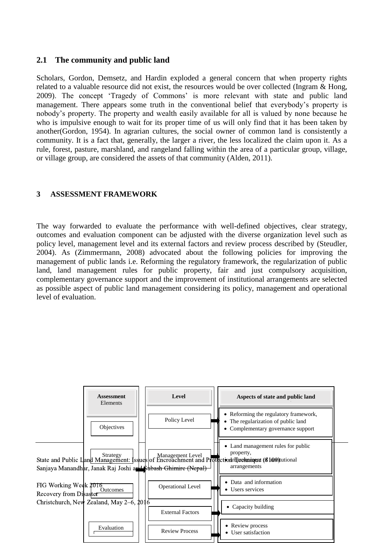### **2.1 The community and public land**

Scholars, Gordon, Demsetz, and Hardin exploded a general concern that when property rights related to a valuable resource did not exist, the resources would be over collected (Ingram & Hong, 2009). The concept 'Tragedy of Commons' is more relevant with state and public land management. There appears some truth in the conventional belief that everybody's property is nobody's property. The property and wealth easily available for all is valued by none because he who is impulsive enough to wait for its proper time of us will only find that it has been taken by another(Gordon, 1954). In agrarian cultures, the social owner of common land is consistently a community. It is a fact that, generally, the larger a river, the less localized the claim upon it. As a rule, forest, pasture, marshland, and rangeland falling within the area of a particular group, village, or village group, are considered the assets of that community (Alden, 2011).

#### **3 ASSESSMENT FRAMEWORK**

The way forwarded to evaluate the performance with well-defined objectives, clear strategy, outcomes and evaluation component can be adjusted with the diverse organization level such as policy level, management level and its external factors and review process described by (Steudler, 2004). As (Zimmermann, 2008) advocated about the following policies for improving the management of public lands i.e. Reforming the regulatory framework, the regularization of public land, land management rules for public property, fair and just compulsory acquisition, complementary governance support and the improvement of institutional arrangements are selected as possible aspect of public land management considering its policy, management and operational level of evaluation.

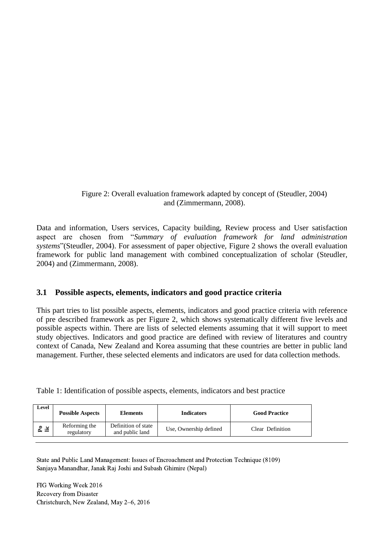<span id="page-4-0"></span>Figure 2: Overall evaluation framework adapted by concept of (Steudler, 2004) and (Zimmermann, 2008).

Data and information, Users services, Capacity building, Review process and User satisfaction aspect are chosen from "*Summary of evaluation framework for land administration systems*"(Steudler, 2004). For assessment of paper objective, [Figure 2](#page-4-0) shows the overall evaluation framework for public land management with combined conceptualization of scholar (Steudler, 2004) and (Zimmermann, 2008).

### **3.1 Possible aspects, elements, indicators and good practice criteria**

This part tries to list possible aspects, elements, indicators and good practice criteria with reference of pre described framework as per [Figure 2,](#page-4-0) which shows systematically different five levels and possible aspects within. There are lists of selected elements assuming that it will support to meet study objectives. Indicators and good practice are defined with review of literatures and country context of Canada, New Zealand and Korea assuming that these countries are better in public land management. Further, these selected elements and indicators are used for data collection methods.

Table 1: Identification of possible aspects, elements, indicators and best practice

| Level     | <b>Possible Aspects</b>     | <b>Elements</b>                        | <b>Indicators</b>      | <b>Good Practice</b> |
|-----------|-----------------------------|----------------------------------------|------------------------|----------------------|
| P.<br>Lic | Reforming the<br>regulatory | Definition of state<br>and public land | Use, Ownership defined | Clear Definition     |
|           |                             |                                        |                        |                      |

State and Public Land Management: Issues of Encroachment and Protection Technique (8109) Sanjaya Manandhar, Janak Raj Joshi and Subash Ghimire (Nepal)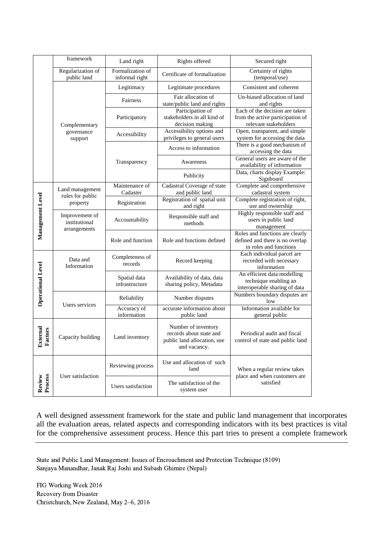|                            | framework                                       | Rights offered<br>Land right       |                                                                                               | Secured right                                                                                |
|----------------------------|-------------------------------------------------|------------------------------------|-----------------------------------------------------------------------------------------------|----------------------------------------------------------------------------------------------|
|                            | Regularization of<br>public land                | Formalization of<br>informal right | Certificate of formalization                                                                  | Certainty of rights<br>(temporal/use)                                                        |
|                            | Complementary<br>governance<br>support          | Legitimacy                         | Legitimate procedures                                                                         | Consistent and coherent                                                                      |
|                            |                                                 | Fairness                           | Fair allocation of<br>state/public land and rights                                            | Un-biased allocation of land<br>and rights                                                   |
|                            |                                                 | Participatory                      | Participation of<br>stakeholders in all kind of<br>decision making                            | Each of the decision are taken<br>from the active participation of<br>relevant stakeholders  |
|                            |                                                 | Accessibility                      | Accessibility options and<br>privileges to general users                                      | Open, transparent, and simple<br>system for accessing the data                               |
|                            |                                                 | Transparency                       | Access to information                                                                         | There is a good mechanism of<br>accessing the data                                           |
|                            |                                                 |                                    | Awareness                                                                                     | General users are aware of the<br>availability of information                                |
|                            |                                                 |                                    | Publicity                                                                                     | Data, charts display Example:<br>Signboard                                                   |
|                            | Land management<br>rules for public<br>property | Maintenance of<br>Cadaster         | Cadastral Coverage of state<br>and public land                                                | Complete and comprehensive<br>cadastral system                                               |
|                            |                                                 | Registration                       | Registration of spatial unit<br>and right                                                     | Complete registration of right,<br>use and ownership                                         |
| Management Level           | Improvement of<br>institutional<br>arrangements | Accountability                     | Responsible staff and<br>methods                                                              | Highly responsible staff and<br>users in public land<br>management                           |
|                            |                                                 | Role and function                  | Role and functions defined                                                                    | Roles and functions are clearly<br>defined and there is no overlap<br>in roles and functions |
| <b>Operational Level</b>   | Data and<br>Information                         | Completeness of<br>records         | Record keeping                                                                                | Each individual parcel are<br>recorded with necessary<br>information                         |
|                            |                                                 | Spatial data<br>infrastructure     | Availability of data, data<br>sharing policy, Metadata                                        | An efficient data modelling<br>technique enabling an<br>interoperable sharing of data        |
|                            | Users services                                  | Reliability                        | Number disputes                                                                               | Numbers boundary disputes are<br>low                                                         |
|                            |                                                 | Accuracy of<br>information         | accurate information about<br>public land                                                     | Information available for<br>general public                                                  |
| <b>External</b><br>Factors | Capacity building                               | Land inventory                     | Number of inventory<br>records about state and<br>public land allocation, use<br>and vacancy. | Periodical audit and fiscal<br>control of state and public land                              |
|                            | User satisfaction                               | Reviewing process                  | Use and allocation of such<br>land                                                            | When a regular review takes<br>place and when customers are                                  |
| Review<br>Process          |                                                 | Users satisfaction                 | The satisfaction of the<br>system user                                                        | satisfied                                                                                    |

A well designed assessment framework for the state and public land management that incorporates all the evaluation areas, related aspects and corresponding indicators with its best practices is vital for the comprehensive assessment process. Hence this part tries to present a complete framework

State and Public Land Management: Issues of Encroachment and Protection Technique (8109) Sanjaya Manandhar, Janak Raj Joshi and Subash Ghimire (Nepal)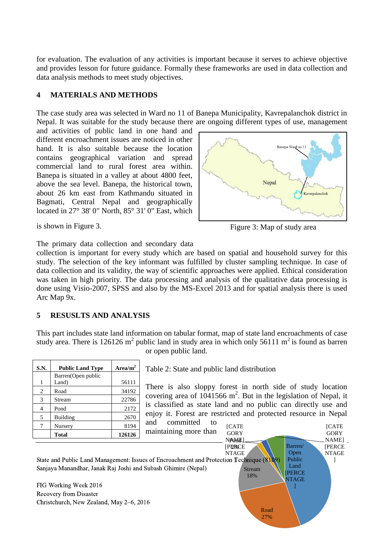for evaluation. The evaluation of any activities is important because it serves to achieve objective and provides lesson for future guidance. Formally these frameworks are used in data collection and data analysis methods to meet study objectives.

#### **4 MATERIALS AND METHODS**

The case study area was selected in Ward no 11 of Banepa Municipality, Kavrepalanchok district in Nepal. It was suitable for the study because there are ongoing different types of use, management

and activities of public land in one hand and different encroachment issues are noticed in other hand. It is also suitable because the location contains geographical variation and spread commercial land to rural forest area within. Banepa is situated in a valley at about 4800 feet, above the sea level. Banepa, the historical town, about 26 km east from Kathmandu situated in Bagmati, Central Nepal and geographically located in 27° 38' 0" North, 85° 31' 0" East, which



<span id="page-6-0"></span>Figure 3: Map of study area

is shown in [Figure 3.](#page-6-0)

The primary data collection and secondary data

collection is important for every study which are based on spatial and household survey for this study. The selection of the key informant was fulfilled by cluster sampling technique. In case of data collection and its validity, the way of scientific approaches were applied. Ethical consideration was taken in high priority. The data processing and analysis of the qualitative data processing is done using Visio-2007, SPSS and also by the MS-Excel 2013 and for spatial analysis there is used Arc Map 9x.

### **5 RESUSLTS AND ANALYSIS**

This part includes state land information on tabular format, map of state land encroachments of case study area. There is 126126 m<sup>2</sup> public land in study area in which only 56111 m<sup>2</sup> is found as barren or open public land.

| S.N. | <b>Public Land Type</b> | Area/m <sup>2</sup> |
|------|-------------------------|---------------------|
|      | Barren(Open public      |                     |
| 1    | Land)                   | 56111               |
| 2    | Road                    | 34192               |
| 3    | Stream                  | 22786               |
| 4    | Pond                    | 2172                |
| 5    | Building                | 2670                |
| 7    | Nursery                 | 8194                |
|      | <b>Total</b>            | 126126              |

Table 2: State and public land distribution

There is also sloppy forest in north side of study location covering area of  $1041566$  m<sup>2</sup>. But in the legislation of Nepal, it is classified as state land and no public can directly use and enjoy it. Forest are restricted and protected resource in Nepal and committed to

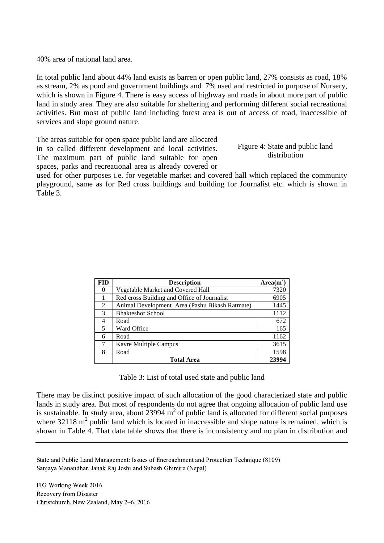40% area of national land area.

In total public land about 44% land exists as barren or open public land, 27% consists as road, 18% as stream, 2% as pond and government buildings and 7% used and restricted in purpose of Nursery, which is shown in [Figure 4.](#page-7-0) There is easy access of highway and roads in about more part of public land in study area. They are also suitable for sheltering and performing different social recreational activities. But most of public land including forest area is out of access of road, inaccessible of services and slope ground nature.

The areas suitable for open space public land are allocated in so called different development and local activities. The maximum part of public land suitable for open spaces, parks and recreational area is already covered or

<span id="page-7-0"></span>Figure 4: State and public land distribution

used for other purposes i.e. for vegetable market and covered hall which replaced the community playground, same as for Red cross buildings and building for Journalist etc. which is shown in [Table 3.](#page-7-1)

| <b>FID</b> | <b>Description</b>                             | $Area(m^2)$ |
|------------|------------------------------------------------|-------------|
| 0          | Vegetable Market and Covered Hall              | 7320        |
|            | Red cross Building and Office of Journalist    | 6905        |
| 2          | Animal Development Area (Pashu Bikash Ratmate) | 1445        |
| 3          | <b>Bhakteshor School</b>                       | 1112        |
| 4          | Road                                           | 672         |
| 5          | Ward Office                                    | 165         |
| 6          | Road                                           | 1162        |
| 7          | Kavre Multiple Campus                          | 3615        |
| 8          | Road                                           | 1598        |
|            | <b>Total Area</b>                              | 23994       |

Table 3: List of total used state and public land

<span id="page-7-1"></span>There may be distinct positive impact of such allocation of the good characterized state and public lands in study area. But most of respondents do not agree that ongoing allocation of public land use is sustainable. In study area, about  $23994 \text{ m}^2$  of public land is allocated for different social purposes where  $32118 \text{ m}^2$  public land which is located in inaccessible and slope nature is remained, which is shown in [Table 4.](#page-8-0) That data table shows that there is inconsistency and no plan in distribution and

State and Public Land Management: Issues of Encroachment and Protection Technique (8109) Sanjaya Manandhar, Janak Raj Joshi and Subash Ghimire (Nepal)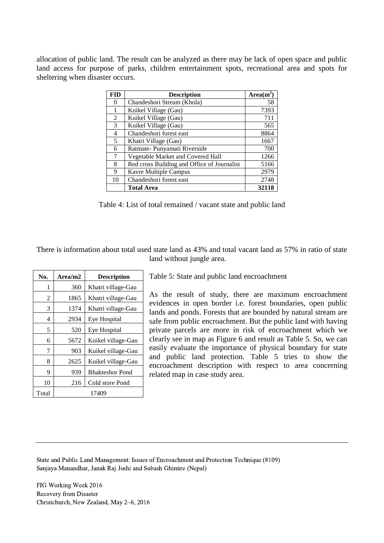allocation of public land. The result can be analyzed as there may be lack of open space and public land access for purpose of parks, children entertainment spots, recreational area and spots for sheltering when disaster occurs.

| FID | <b>Description</b>                          | $Area(m^2)$ |
|-----|---------------------------------------------|-------------|
| 0   | Chandeshori Stream (Khola)                  | 58          |
| 1   | Kuikel Village (Gau)                        | 7393        |
| 2   | Kuikel Village (Gau)                        | 711         |
| 3   | Kuikel Village (Gau)                        | 565         |
| 4   | Chandeshori forest east                     | 8864        |
| 5   | Khatri Village (Gau)                        | 1667        |
| 6   | Ratmate- Punyamati Riverside                | 700         |
| 7   | Vegetable Market and Covered Hall           | 1266        |
| 8   | Red cross Building and Office of Journalist | 5166        |
| 9   | Kavre Multiple Campus                       | 2979        |
| 10  | Chandeshori forest east                     | 2748        |
|     | <b>Total Area</b>                           | 32118       |

Table 4: List of total remained / vacant state and public land

<span id="page-8-0"></span>There is information about total used state land as 43% and total vacant land as 57% in ratio of state land without jungle area.

| No.   | Area/m2 | <b>Description</b>     |  |
|-------|---------|------------------------|--|
| 1     | 360     | Khatri village-Gau     |  |
| 2     | 1865    | Khatri village-Gau     |  |
| 3     | 1374    | Khatri village-Gau     |  |
| 4     | 2934    | Eye Hospital           |  |
| 5     | 520     | Eye Hospital           |  |
| 6     | 5672    | Kuikel village-Gau     |  |
| 7     | 903     | Kuikel village-Gau     |  |
| 8     | 2625    | Kuikel village-Gau     |  |
| 9     | 939     | <b>Bhakteshor Pond</b> |  |
| 10    | 216     | Cold store Pond        |  |
| Total |         | 17409                  |  |

<span id="page-8-1"></span>Table 5: State and public land encroachment

As the result of study, there are maximum encroachment evidences in open border i.e. forest boundaries, open public lands and ponds. Forests that are bounded by natural stream are safe from public encroachment. But the public land with having private parcels are more in risk of encroachment which we clearly see in map as Figure 6 and result as Table 5. So, we can easily evaluate the importance of physical boundary for state and public land protection. [Table 5](#page-8-1) tries to show the encroachment description with respect to area concerning related map in case study area.

State and Public Land Management: Issues of Encroachment and Protection Technique (8109) Sanjaya Manandhar, Janak Raj Joshi and Subash Ghimire (Nepal)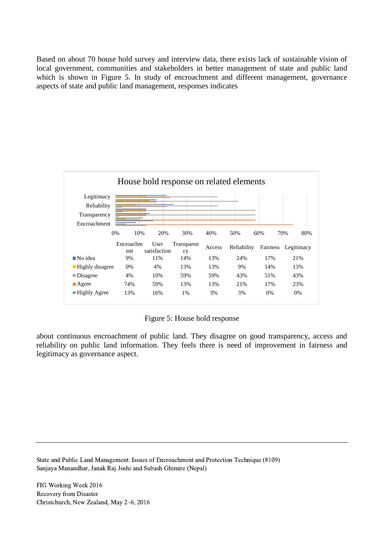Based on about 70 house hold survey and interview data, there exists lack of sustainable vision of local government, communities and stakeholders in better management of state and public land which is shown in Figure 5. In study of encroachment and different management, governance aspects of state and public land management, responses indicates



#### Figure 5: House hold response

about continuous encroachment of public land. They disagree on good transparency, access and reliability on public land information. They feels there is need of improvement in fairness and legitimacy as governance aspect.

State and Public Land Management: Issues of Encroachment and Protection Technique (8109) Sanjaya Manandhar, Janak Raj Joshi and Subash Ghimire (Nepal)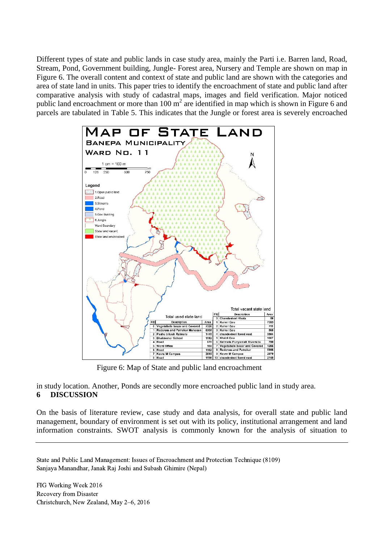Different types of state and public lands in case study area, mainly the Parti i.e. Barren land, Road, Stream, Pond, Government building, Jungle- Forest area, Nursery and Temple are shown on map in [Figure 6](#page-10-0). The overall content and context of state and public land are shown with the categories and area of state land in units. This paper tries to identify the encroachment of state and public land after comparative analysis with study of cadastral maps, images and field verification. Major noticed public land encroachment or more than  $100 \text{ m}^2$  are identified in map which is shown in [Figure 6](#page-10-0) and parcels are tabulated in Table 5. This indicates that the Jungle or forest area is severely encroached



<span id="page-10-0"></span>Figure 6: Map of State and public land encroachment

in study location. Another, Ponds are secondly more encroached public land in study area.

## **6 DISCUSSION**

On the basis of literature review, case study and data analysis, for overall state and public land management, boundary of environment is set out with its policy, institutional arrangement and land information constraints. SWOT analysis is commonly known for the analysis of situation to

State and Public Land Management: Issues of Encroachment and Protection Technique (8109) Sanjaya Manandhar, Janak Raj Joshi and Subash Ghimire (Nepal)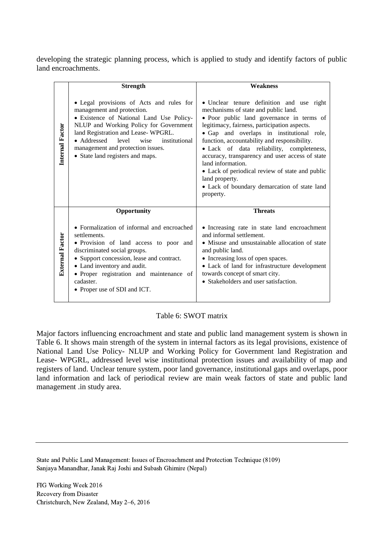developing the strategic planning process, which is applied to study and identify factors of public land encroachments.

|                        | <b>Strength</b>                                                                                                                                                                                                                                                                                                              | <b>Weakness</b>                                                                                                                                                                                                                                                                                                                                                                                                                                                                                                                    |
|------------------------|------------------------------------------------------------------------------------------------------------------------------------------------------------------------------------------------------------------------------------------------------------------------------------------------------------------------------|------------------------------------------------------------------------------------------------------------------------------------------------------------------------------------------------------------------------------------------------------------------------------------------------------------------------------------------------------------------------------------------------------------------------------------------------------------------------------------------------------------------------------------|
| Internal Factor        | • Legal provisions of Acts and rules for<br>management and protection.<br>• Existence of National Land Use Policy-<br>NLUP and Working Policy for Government<br>land Registration and Lease-WPGRL.<br>• Addressed<br>level<br>wise<br>institutional<br>management and protection issues.<br>• State land registers and maps. | • Unclear tenure definition and use right<br>mechanisms of state and public land.<br>· Poor public land governance in terms of<br>legitimacy, fairness, participation aspects.<br>• Gap and overlaps in institutional role,<br>function, accountability and responsibility.<br>· Lack of data reliability, completeness,<br>accuracy, transparency and user access of state<br>land information.<br>• Lack of periodical review of state and public<br>land property.<br>• Lack of boundary demarcation of state land<br>property. |
|                        | Opportunity                                                                                                                                                                                                                                                                                                                  | <b>Threats</b>                                                                                                                                                                                                                                                                                                                                                                                                                                                                                                                     |
| <b>External Factor</b> | • Formalization of informal and encroached<br>settlements.<br>• Provision of land access to poor and<br>discriminated social groups.<br>• Support concession, lease and contract.<br>• Land inventory and audit.<br>· Proper registration and maintenance of<br>cadaster.<br>• Proper use of SDI and ICT.                    | • Increasing rate in state land encroachment<br>and informal settlement.<br>• Misuse and unsustainable allocation of state<br>and public land.<br>• Increasing loss of open spaces.<br>• Lack of land for infrastructure development<br>towards concept of smart city.<br>• Stakeholders and user satisfaction.                                                                                                                                                                                                                    |

#### Table 6: SWOT matrix

<span id="page-11-0"></span>Major factors influencing encroachment and state and public land management system is shown in [Table 6](#page-11-0). It shows main strength of the system in internal factors as its legal provisions, existence of National Land Use Policy- NLUP and Working Policy for Government land Registration and Lease- WPGRL, addressed level wise institutional protection issues and availability of map and registers of land. Unclear tenure system, poor land governance, institutional gaps and overlaps, poor land information and lack of periodical review are main weak factors of state and public land management .in study area.

State and Public Land Management: Issues of Encroachment and Protection Technique (8109) Sanjaya Manandhar, Janak Raj Joshi and Subash Ghimire (Nepal)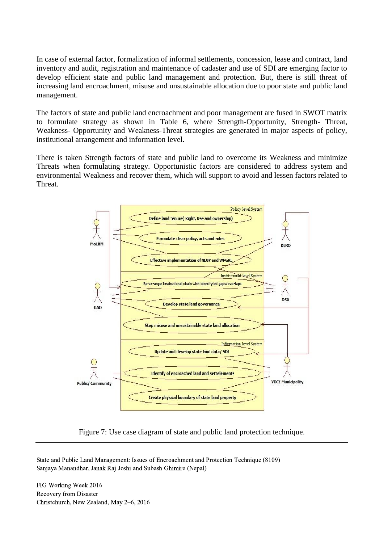In case of external factor, formalization of informal settlements, concession, lease and contract, land inventory and audit, registration and maintenance of cadaster and use of SDI are emerging factor to develop efficient state and public land management and protection. But, there is still threat of increasing land encroachment, misuse and unsustainable allocation due to poor state and public land management.

The factors of state and public land encroachment and poor management are fused in SWOT matrix to formulate strategy as shown in [Table 6](#page-11-0), where Strength-Opportunity, Strength- Threat, Weakness- Opportunity and Weakness-Threat strategies are generated in major aspects of policy, institutional arrangement and information level.

There is taken Strength factors of state and public land to overcome its Weakness and minimize Threats when formulating strategy. Opportunistic factors are considered to address system and environmental Weakness and recover them, which will support to avoid and lessen factors related to Threat.



Figure 7: Use case diagram of state and public land protection technique.

<span id="page-12-0"></span>State and Public Land Management: Issues of Encroachment and Protection Technique (8109) Sanjaya Manandhar, Janak Raj Joshi and Subash Ghimire (Nepal)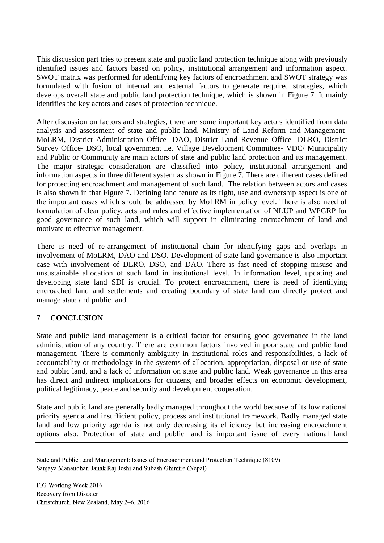This discussion part tries to present state and public land protection technique along with previously identified issues and factors based on policy, institutional arrangement and information aspect. SWOT matrix was performed for identifying key factors of encroachment and SWOT strategy was formulated with fusion of internal and external factors to generate required strategies, which develops overall state and public land protection technique, which is shown in [Figure 7](#page-12-0). It mainly identifies the key actors and cases of protection technique.

After discussion on factors and strategies, there are some important key actors identified from data analysis and assessment of state and public land. Ministry of Land Reform and Management-MoLRM, District Administration Office- DAO, District Land Revenue Office- DLRO, District Survey Office- DSO, local government i.e. Village Development Committee- VDC/ Municipality and Public or Community are main actors of state and public land protection and its management. The major strategic consideration are classified into policy, institutional arrangement and information aspects in three different system as shown in Figure 7. There are different cases defined for protecting encroachment and management of such land. The relation between actors and cases is also shown in that Figure 7. Defining land tenure as its right, use and ownership aspect is one of the important cases which should be addressed by MoLRM in policy level. There is also need of formulation of clear policy, acts and rules and effective implementation of NLUP and WPGRP for good governance of such land, which will support in eliminating encroachment of land and motivate to effective management.

There is need of re-arrangement of institutional chain for identifying gaps and overlaps in involvement of MoLRM, DAO and DSO. Development of state land governance is also important case with involvement of DLRO, DSO, and DAO. There is fast need of stopping misuse and unsustainable allocation of such land in institutional level. In information level, updating and developing state land SDI is crucial. To protect encroachment, there is need of identifying encroached land and settlements and creating boundary of state land can directly protect and manage state and public land.

## **7 CONCLUSION**

State and public land management is a critical factor for ensuring good governance in the land administration of any country. There are common factors involved in poor state and public land management. There is commonly ambiguity in institutional roles and responsibilities, a lack of accountability or methodology in the systems of allocation, appropriation, disposal or use of state and public land, and a lack of information on state and public land. Weak governance in this area has direct and indirect implications for citizens, and broader effects on economic development, political legitimacy, peace and security and development cooperation.

State and public land are generally badly managed throughout the world because of its low national priority agenda and insufficient policy, process and institutional framework. Badly managed state land and low priority agenda is not only decreasing its efficiency but increasing encroachment options also. Protection of state and public land is important issue of every national land

State and Public Land Management: Issues of Encroachment and Protection Technique (8109) Sanjaya Manandhar, Janak Raj Joshi and Subash Ghimire (Nepal)